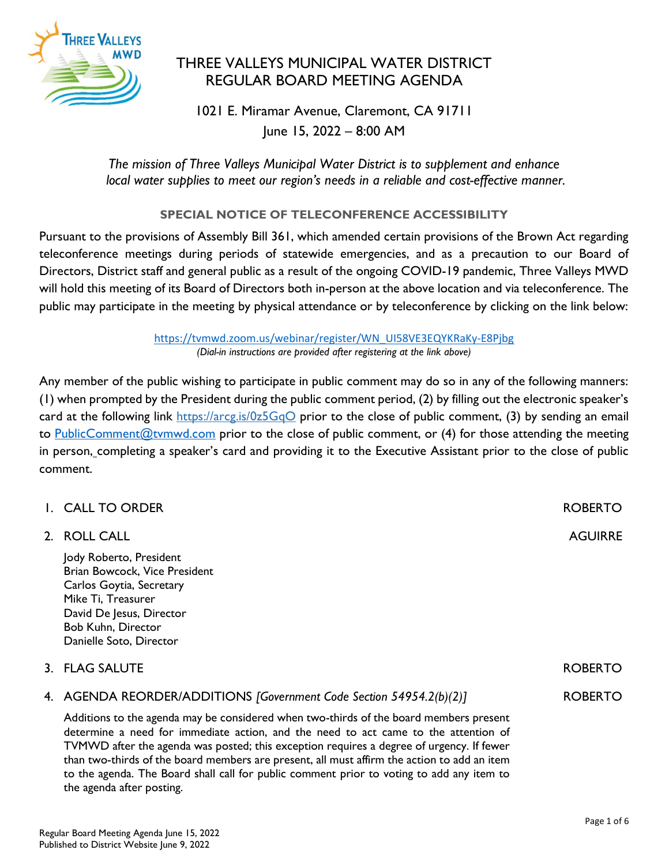

# THREE VALLEYS MUNICIPAL WATER DISTRICT REGULAR BOARD MEETING AGENDA

1021 E. Miramar Avenue, Claremont, CA 91711 June 15, 2022 – 8:00 AM

The mission of Three Valleys Municipal Water District is to supplement and enhance local water supplies to meet our region's needs in a reliable and cost-effective manner.

## SPECIAL NOTICE OF TELECONFERENCE ACCESSIBILITY

Pursuant to the provisions of Assembly Bill 361, which amended certain provisions of the Brown Act regarding teleconference meetings during periods of statewide emergencies, and as a precaution to our Board of Directors, District staff and general public as a result of the ongoing COVID-19 pandemic, Three Valleys MWD will hold this meeting of its Board of Directors both in-person at the above location and via teleconference. The public may participate in the meeting by physical attendance or by teleconference by clicking on the link below:

> https://tvmwd.zoom.us/webinar/register/WN\_UI58VE3EQYKRaKy-E8Pjbg (Dial-in instructions are provided after registering at the link above)

Any member of the public wishing to participate in public comment may do so in any of the following manners: (1) when prompted by the President during the public comment period, (2) by filling out the electronic speaker's card at the following link https://arcg.is/0z5GqO prior to the close of public comment, (3) by sending an email to PublicComment@tymwd.com prior to the close of public comment, or  $(4)$  for those attending the meeting in person, completing a speaker's card and providing it to the Executive Assistant prior to the close of public comment.

| I. CALL TO ORDER                                                                                                                                                                                                                                                                                                                                                                                                                                                      | <b>ROBERTO</b> |
|-----------------------------------------------------------------------------------------------------------------------------------------------------------------------------------------------------------------------------------------------------------------------------------------------------------------------------------------------------------------------------------------------------------------------------------------------------------------------|----------------|
| 2. ROLL CALL                                                                                                                                                                                                                                                                                                                                                                                                                                                          | <b>AGUIRRE</b> |
| Jody Roberto, President<br>Brian Bowcock, Vice President<br>Carlos Goytia, Secretary<br>Mike Ti, Treasurer<br>David De Jesus, Director<br>Bob Kuhn, Director<br>Danielle Soto, Director                                                                                                                                                                                                                                                                               |                |
| 3. FLAG SALUTE                                                                                                                                                                                                                                                                                                                                                                                                                                                        | <b>ROBERTO</b> |
| 4. AGENDA REORDER/ADDITIONS [Government Code Section 54954.2(b)(2)]                                                                                                                                                                                                                                                                                                                                                                                                   | <b>ROBERTO</b> |
| Additions to the agenda may be considered when two-thirds of the board members present<br>determine a need for immediate action, and the need to act came to the attention of<br>TVMWD after the agenda was posted; this exception requires a degree of urgency. If fewer<br>than two-thirds of the board members are present, all must affirm the action to add an item<br>to the agenda. The Board shall call for public comment prior to voting to add any item to |                |

the agenda after posting.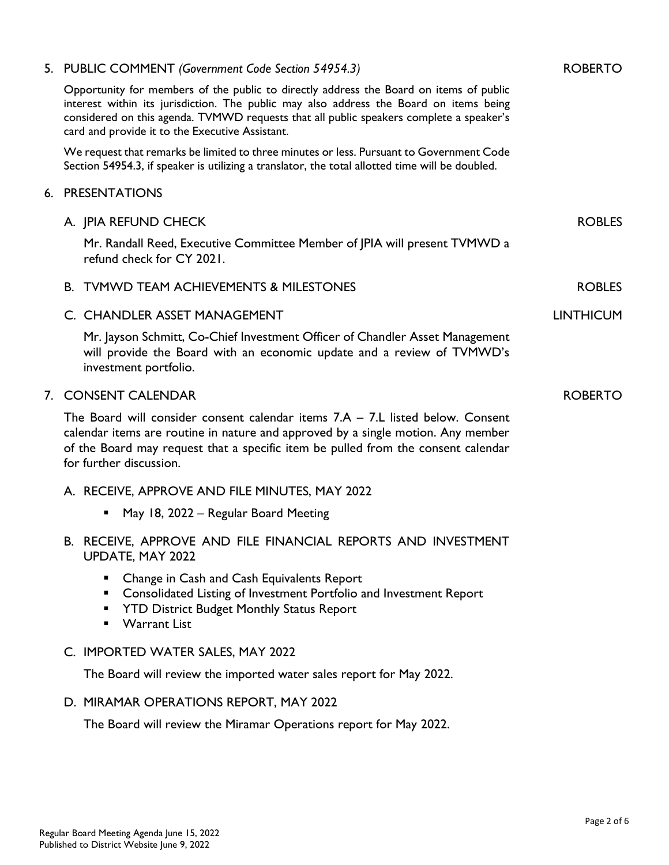| 5. PUBLIC COMMENT (Government Code Section 54954.3)                                                                                                                                                                                                                                                                            | <b>ROBERTO</b>   |
|--------------------------------------------------------------------------------------------------------------------------------------------------------------------------------------------------------------------------------------------------------------------------------------------------------------------------------|------------------|
| Opportunity for members of the public to directly address the Board on items of public<br>interest within its jurisdiction. The public may also address the Board on items being<br>considered on this agenda. TVMWD requests that all public speakers complete a speaker's<br>card and provide it to the Executive Assistant. |                  |
| We request that remarks be limited to three minutes or less. Pursuant to Government Code<br>Section 54954.3, if speaker is utilizing a translator, the total allotted time will be doubled.                                                                                                                                    |                  |
| 6. PRESENTATIONS                                                                                                                                                                                                                                                                                                               |                  |
| A. JPIA REFUND CHECK                                                                                                                                                                                                                                                                                                           | <b>ROBLES</b>    |
| Mr. Randall Reed, Executive Committee Member of JPIA will present TVMWD a<br>refund check for CY 2021.                                                                                                                                                                                                                         |                  |
| <b>B. TVMWD TEAM ACHIEVEMENTS &amp; MILESTONES</b>                                                                                                                                                                                                                                                                             | <b>ROBLES</b>    |
| C. CHANDLER ASSET MANAGEMENT                                                                                                                                                                                                                                                                                                   | <b>LINTHICUM</b> |
| Mr. Jayson Schmitt, Co-Chief Investment Officer of Chandler Asset Management<br>will provide the Board with an economic update and a review of TVMWD's<br>investment portfolio.                                                                                                                                                |                  |
| 7. CONSENT CALENDAR                                                                                                                                                                                                                                                                                                            | <b>ROBERTO</b>   |
| The Board will consider consent calendar items $7.A - 7.L$ listed below. Consent<br>calendar items are routine in nature and approved by a single motion. Any member<br>of the Board may request that a specific item be pulled from the consent calendar<br>for further discussion.                                           |                  |
| A. RECEIVE, APPROVE AND FILE MINUTES, MAY 2022                                                                                                                                                                                                                                                                                 |                  |
| May 18, 2022 – Regular Board Meeting                                                                                                                                                                                                                                                                                           |                  |
| B. RECEIVE, APPROVE AND FILE FINANCIAL REPORTS AND INVESTMENT<br>UPDATE, MAY 2022                                                                                                                                                                                                                                              |                  |
| Change in Cash and Cash Equivalents Report<br>Consolidated Listing of Investment Portfolio and Investment Report<br><b>YTD District Budget Monthly Status Report</b><br><b>Warrant List</b>                                                                                                                                    |                  |
| C. IMPORTED WATER SALES, MAY 2022                                                                                                                                                                                                                                                                                              |                  |
| The Board will review the imported water sales report for May 2022.                                                                                                                                                                                                                                                            |                  |
| D. MIRAMAR OPERATIONS REPORT, MAY 2022                                                                                                                                                                                                                                                                                         |                  |
| The Board will review the Miramar Operations report for May 2022.                                                                                                                                                                                                                                                              |                  |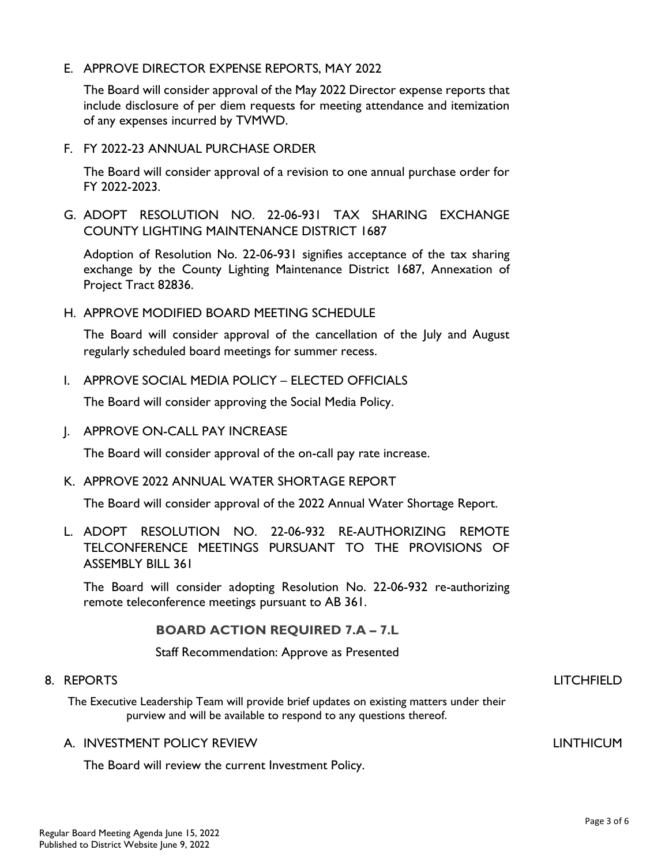E. APPROVE DIRECTOR EXPENSE REPORTS, MAY 2022

The Board will consider approval of the May 2022 Director expense reports that include disclosure of per diem requests for meeting attendance and itemization of any expenses incurred by TVMWD.

F. FY 2022-23 ANNUAL PURCHASE ORDER

The Board will consider approval of a revision to one annual purchase order for FY 2022-2023.

G. ADOPT RESOLUTION NO. 22-06-931 TAX SHARING EXCHANGE COUNTY LIGHTING MAINTENANCE DISTRICT 1687

Adoption of Resolution No. 22-06-931 signifies acceptance of the tax sharing exchange by the County Lighting Maintenance District 1687, Annexation of Project Tract 82836.

H. APPROVE MODIFIED BOARD MEETING SCHEDULE

The Board will consider approval of the cancellation of the July and August regularly scheduled board meetings for summer recess.

I. APPROVE SOCIAL MEDIA POLICY – ELECTED OFFICIALS

The Board will consider approving the Social Media Policy.

J. APPROVE ON-CALL PAY INCREASE

The Board will consider approval of the on-call pay rate increase.

K. APPROVE 2022 ANNUAL WATER SHORTAGE REPORT

The Board will consider approval of the 2022 Annual Water Shortage Report.

L. ADOPT RESOLUTION NO. 22-06-932 RE-AUTHORIZING REMOTE TELCONFERENCE MEETINGS PURSUANT TO THE PROVISIONS OF ASSEMBLY BILL 361

The Board will consider adopting Resolution No. 22-06-932 re-authorizing remote teleconference meetings pursuant to AB 361.

#### BOARD ACTION REQUIRED 7.A – 7.L

Staff Recommendation: Approve as Presented

#### 8. REPORTS

The Executive Leadership Team will provide brief updates on existing matters under their purview and will be available to respond to any questions thereof.

#### A. INVESTMENT POLICY REVIEW

The Board will review the current Investment Policy.

## LITCHFIELD

LINTHICUM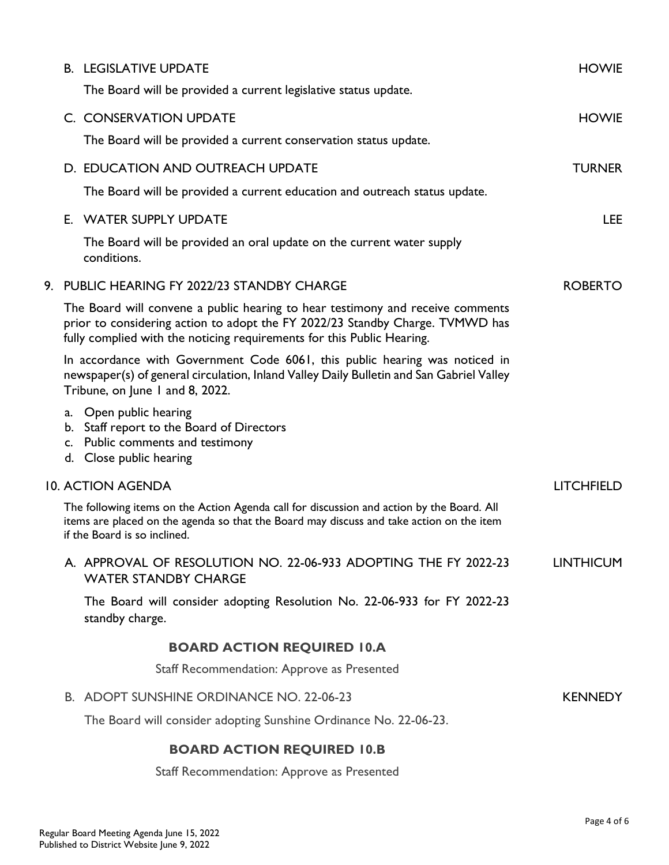|  | <b>B. LEGISLATIVE UPDATE</b>                                                                                                                                                                                                              | <b>HOWIE</b>      |
|--|-------------------------------------------------------------------------------------------------------------------------------------------------------------------------------------------------------------------------------------------|-------------------|
|  | The Board will be provided a current legislative status update.                                                                                                                                                                           |                   |
|  | C. CONSERVATION UPDATE                                                                                                                                                                                                                    | <b>HOWIE</b>      |
|  | The Board will be provided a current conservation status update.                                                                                                                                                                          |                   |
|  | D. EDUCATION AND OUTREACH UPDATE                                                                                                                                                                                                          | <b>TURNER</b>     |
|  | The Board will be provided a current education and outreach status update.                                                                                                                                                                |                   |
|  | E. WATER SUPPLY UPDATE                                                                                                                                                                                                                    | LEE.              |
|  | The Board will be provided an oral update on the current water supply<br>conditions.                                                                                                                                                      |                   |
|  | 9. PUBLIC HEARING FY 2022/23 STANDBY CHARGE                                                                                                                                                                                               | <b>ROBERTO</b>    |
|  | The Board will convene a public hearing to hear testimony and receive comments<br>prior to considering action to adopt the FY 2022/23 Standby Charge. TVMWD has<br>fully complied with the noticing requirements for this Public Hearing. |                   |
|  | In accordance with Government Code 6061, this public hearing was noticed in<br>newspaper(s) of general circulation, Inland Valley Daily Bulletin and San Gabriel Valley<br>Tribune, on June I and 8, 2022.                                |                   |
|  | a. Open public hearing<br>b. Staff report to the Board of Directors<br>c. Public comments and testimony<br>d. Close public hearing                                                                                                        |                   |
|  | <b>10. ACTION AGENDA</b>                                                                                                                                                                                                                  | <b>LITCHFIELD</b> |
|  | The following items on the Action Agenda call for discussion and action by the Board. All<br>items are placed on the agenda so that the Board may discuss and take action on the item<br>if the Board is so inclined.                     |                   |
|  | A. APPROVAL OF RESOLUTION NO. 22-06-933 ADOPTING THE FY 2022-23<br><b>WATER STANDBY CHARGE</b>                                                                                                                                            | <b>LINTHICUM</b>  |
|  | The Board will consider adopting Resolution No. 22-06-933 for FY 2022-23<br>standby charge.                                                                                                                                               |                   |
|  | <b>BOARD ACTION REQUIRED 10.A</b>                                                                                                                                                                                                         |                   |
|  | Staff Recommendation: Approve as Presented                                                                                                                                                                                                |                   |
|  | B. ADOPT SUNSHINE ORDINANCE NO. 22-06-23                                                                                                                                                                                                  | <b>KENNEDY</b>    |
|  | The Board will consider adopting Sunshine Ordinance No. 22-06-23.                                                                                                                                                                         |                   |
|  | <b>BOARD ACTION REQUIRED 10.B</b>                                                                                                                                                                                                         |                   |
|  | Staff Recommendation: Approve as Presented                                                                                                                                                                                                |                   |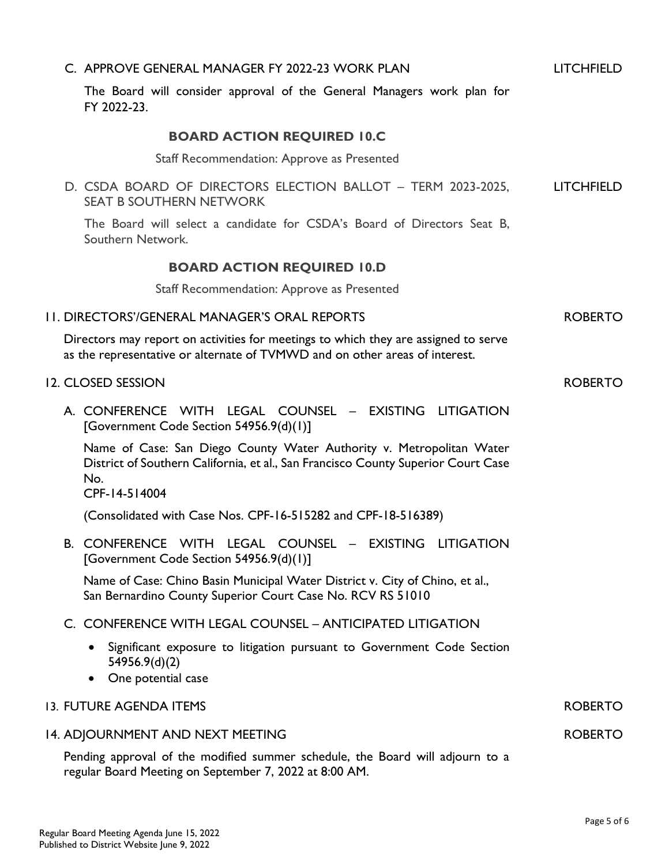| C. APPROVE GENERAL MANAGER FY 2022-23 WORK PLAN                                                                                                                                   | <b>LITCHFIELD</b> |
|-----------------------------------------------------------------------------------------------------------------------------------------------------------------------------------|-------------------|
| The Board will consider approval of the General Managers work plan for<br>FY 2022-23.                                                                                             |                   |
| <b>BOARD ACTION REQUIRED 10.C</b>                                                                                                                                                 |                   |
| Staff Recommendation: Approve as Presented                                                                                                                                        |                   |
| D. CSDA BOARD OF DIRECTORS ELECTION BALLOT - TERM 2023-2025,<br><b>SEAT B SOUTHERN NETWORK</b>                                                                                    | <b>LITCHFIELD</b> |
| The Board will select a candidate for CSDA's Board of Directors Seat B,<br>Southern Network.                                                                                      |                   |
| <b>BOARD ACTION REQUIRED 10.D</b>                                                                                                                                                 |                   |
| Staff Recommendation: Approve as Presented                                                                                                                                        |                   |
| 11. DIRECTORS'/GENERAL MANAGER'S ORAL REPORTS                                                                                                                                     | <b>ROBERTO</b>    |
| Directors may report on activities for meetings to which they are assigned to serve<br>as the representative or alternate of TVMWD and on other areas of interest.                |                   |
| 12. CLOSED SESSION                                                                                                                                                                | <b>ROBERTO</b>    |
| A. CONFERENCE WITH LEGAL COUNSEL - EXISTING LITIGATION<br>[Government Code Section 54956.9(d)(1)]                                                                                 |                   |
| Name of Case: San Diego County Water Authority v. Metropolitan Water<br>District of Southern California, et al., San Francisco County Superior Court Case<br>No.<br>CPF-14-514004 |                   |
| (Consolidated with Case Nos. CPF-16-515282 and CPF-18-516389)                                                                                                                     |                   |
| B. CONFERENCE WITH LEGAL COUNSEL - EXISTING LITIGATION<br>[Government Code Section 54956.9(d)(1)]                                                                                 |                   |
| Name of Case: Chino Basin Municipal Water District v. City of Chino, et al.,<br>San Bernardino County Superior Court Case No. RCV RS 51010                                        |                   |
| C. CONFERENCE WITH LEGAL COUNSEL - ANTICIPATED LITIGATION                                                                                                                         |                   |
| Significant exposure to litigation pursuant to Government Code Section<br>54956.9(d)(2)<br>One potential case                                                                     |                   |
| 13. FUTURE AGENDA ITEMS                                                                                                                                                           | <b>ROBERTO</b>    |
| 14. ADJOURNMENT AND NEXT MEETING                                                                                                                                                  | <b>ROBERTO</b>    |
| Pending approval of the modified summer schedule, the Board will adjourn to a<br>regular Board Meeting on September 7, 2022 at 8:00 AM.                                           |                   |